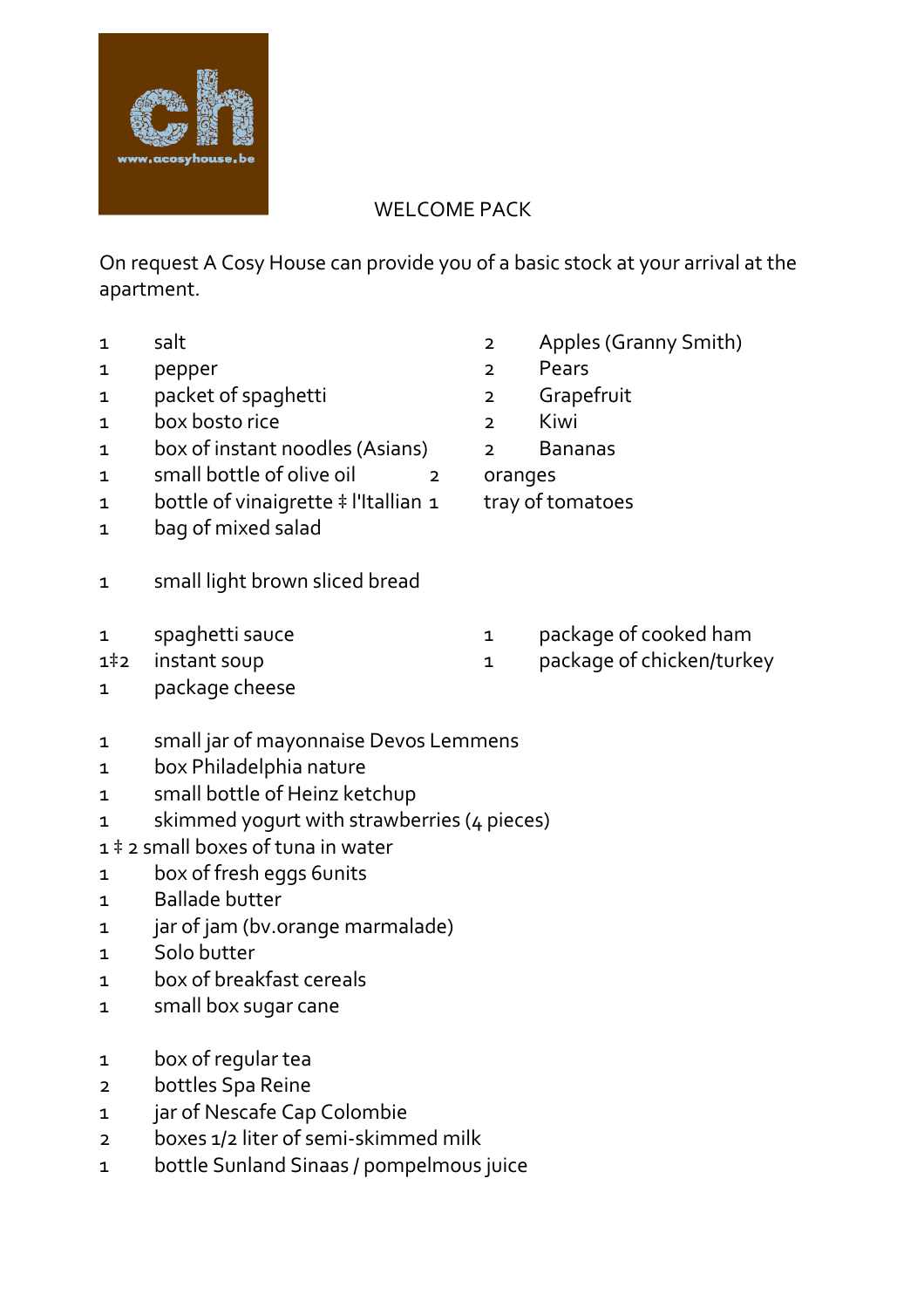

## WELCOME PACK

On request A Cosy House can provide you of a basic stock at your arrival at the apartment.

- 
- 1 pepper 2 Pears
- 1 packet of spaghetti 1 a 2 Grapefruit
- 1 box bosto rice 2 Kiwi
- 1 box of instant noodles (Asians) 2 Bananas
- 1 small bottle of olive oil 2 oranges
- 1 bottle of vinaigrette ‡ l'Itallian 1 tray of tomatoes
- 1 bag of mixed salad
- 1 small light brown sliced bread
- 
- 
- 1 package cheese
- 1 small jar of mayonnaise Devos Lemmens
- 1 box Philadelphia nature
- 1 small bottle of Heinz ketchup
- 1 skimmed yogurt with strawberries (4 pieces)
- 1 ‡ 2 small boxes of tuna in water
- 1 box of fresh eggs 6units
- 1 Ballade butter
- 1 jar of jam (bv.orange marmalade)
- 1 Solo butter
- 1 box of breakfast cereals
- 1 small box sugar cane
- 1 box of regular tea
- 2 bottles Spa Reine
- 1 jar of Nescafe Cap Colombie
- 2 boxes 1/2 liter of semi-skimmed milk
- 1 bottle Sunland Sinaas / pompelmous juice
- 1 salt 2 Apples (Granny Smith)
	-
	-
	-
	-
	-
	-
- 1 spaghetti sauce 1 package of cooked ham
- 1<sup>‡</sup>2 instant soup 1 package of chicken/turkey